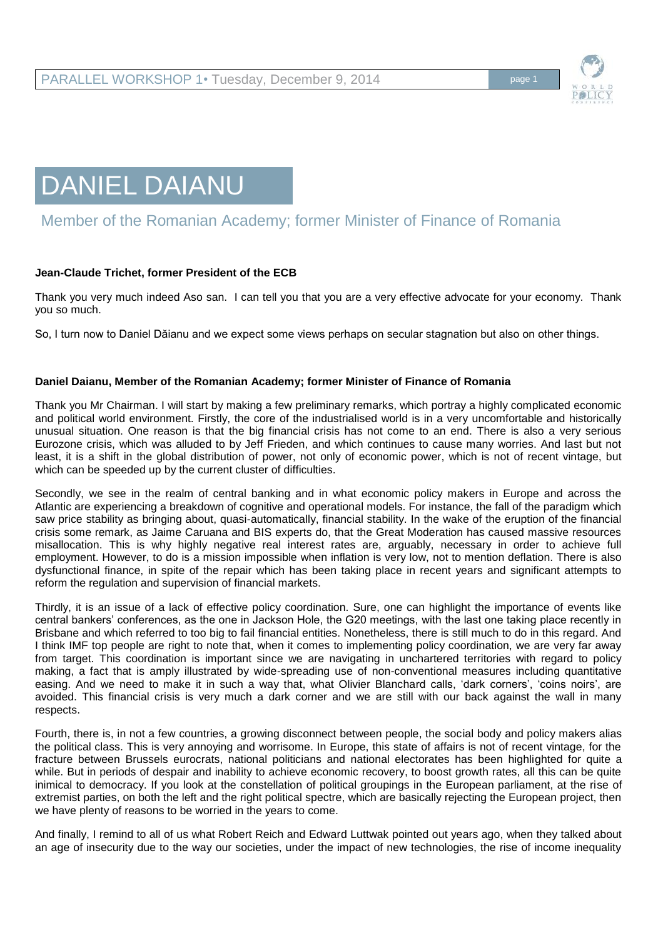



## Member of the Romanian Academy; former Minister of Finance of Romania

## **Jean-Claude Trichet, former President of the ECB**

Thank you very much indeed Aso san. I can tell you that you are a very effective advocate for your economy. Thank you so much.

So, I turn now to Daniel Dăianu and we expect some views perhaps on secular stagnation but also on other things.

## **Daniel Daianu, Member of the Romanian Academy; former Minister of Finance of Romania**

Thank you Mr Chairman. I will start by making a few preliminary remarks, which portray a highly complicated economic and political world environment. Firstly, the core of the industrialised world is in a very uncomfortable and historically unusual situation. One reason is that the big financial crisis has not come to an end. There is also a very serious Eurozone crisis, which was alluded to by Jeff Frieden, and which continues to cause many worries. And last but not least, it is a shift in the global distribution of power, not only of economic power, which is not of recent vintage, but which can be speeded up by the current cluster of difficulties.

Secondly, we see in the realm of central banking and in what economic policy makers in Europe and across the Atlantic are experiencing a breakdown of cognitive and operational models. For instance, the fall of the paradigm which saw price stability as bringing about, quasi-automatically, financial stability. In the wake of the eruption of the financial crisis some remark, as Jaime Caruana and BIS experts do, that the Great Moderation has caused massive resources misallocation. This is why highly negative real interest rates are, arguably, necessary in order to achieve full employment. However, to do is a mission impossible when inflation is very low, not to mention deflation. There is also dysfunctional finance, in spite of the repair which has been taking place in recent years and significant attempts to reform the regulation and supervision of financial markets.

Thirdly, it is an issue of a lack of effective policy coordination. Sure, one can highlight the importance of events like central bankers' conferences, as the one in Jackson Hole, the G20 meetings, with the last one taking place recently in Brisbane and which referred to too big to fail financial entities. Nonetheless, there is still much to do in this regard. And I think IMF top people are right to note that, when it comes to implementing policy coordination, we are very far away from target. This coordination is important since we are navigating in unchartered territories with regard to policy making, a fact that is amply illustrated by wide-spreading use of non-conventional measures including quantitative easing. And we need to make it in such a way that, what Olivier Blanchard calls, 'dark corners', 'coins noirs', are avoided. This financial crisis is very much a dark corner and we are still with our back against the wall in many respects.

Fourth, there is, in not a few countries, a growing disconnect between people, the social body and policy makers alias the political class. This is very annoying and worrisome. In Europe, this state of affairs is not of recent vintage, for the fracture between Brussels eurocrats, national politicians and national electorates has been highlighted for quite a while. But in periods of despair and inability to achieve economic recovery, to boost growth rates, all this can be quite inimical to democracy. If you look at the constellation of political groupings in the European parliament, at the rise of extremist parties, on both the left and the right political spectre, which are basically rejecting the European project, then we have plenty of reasons to be worried in the years to come.

And finally, I remind to all of us what Robert Reich and Edward Luttwak pointed out years ago, when they talked about an age of insecurity due to the way our societies, under the impact of new technologies, the rise of income inequality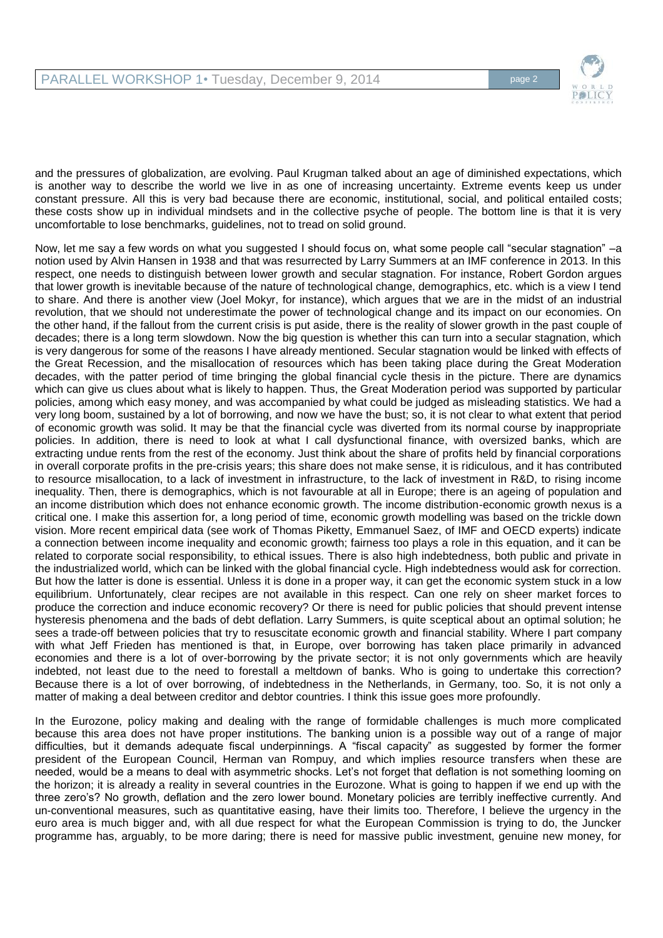

and the pressures of globalization, are evolving. Paul Krugman talked about an age of diminished expectations, which is another way to describe the world we live in as one of increasing uncertainty. Extreme events keep us under constant pressure. All this is very bad because there are economic, institutional, social, and political entailed costs; these costs show up in individual mindsets and in the collective psyche of people. The bottom line is that it is very uncomfortable to lose benchmarks, guidelines, not to tread on solid ground.

Now, let me say a few words on what you suggested I should focus on, what some people call "secular stagnation" –a notion used by Alvin Hansen in 1938 and that was resurrected by Larry Summers at an IMF conference in 2013. In this respect, one needs to distinguish between lower growth and secular stagnation. For instance, Robert Gordon argues that lower growth is inevitable because of the nature of technological change, demographics, etc. which is a view I tend to share. And there is another view (Joel Mokyr, for instance), which argues that we are in the midst of an industrial revolution, that we should not underestimate the power of technological change and its impact on our economies. On the other hand, if the fallout from the current crisis is put aside, there is the reality of slower growth in the past couple of decades; there is a long term slowdown. Now the big question is whether this can turn into a secular stagnation, which is very dangerous for some of the reasons I have already mentioned. Secular stagnation would be linked with effects of the Great Recession, and the misallocation of resources which has been taking place during the Great Moderation decades, with the patter period of time bringing the global financial cycle thesis in the picture. There are dynamics which can give us clues about what is likely to happen. Thus, the Great Moderation period was supported by particular policies, among which easy money, and was accompanied by what could be judged as misleading statistics. We had a very long boom, sustained by a lot of borrowing, and now we have the bust; so, it is not clear to what extent that period of economic growth was solid. It may be that the financial cycle was diverted from its normal course by inappropriate policies. In addition, there is need to look at what I call dysfunctional finance, with oversized banks, which are extracting undue rents from the rest of the economy. Just think about the share of profits held by financial corporations in overall corporate profits in the pre-crisis years; this share does not make sense, it is ridiculous, and it has contributed to resource misallocation, to a lack of investment in infrastructure, to the lack of investment in R&D, to rising income inequality. Then, there is demographics, which is not favourable at all in Europe; there is an ageing of population and an income distribution which does not enhance economic growth. The income distribution-economic growth nexus is a critical one. I make this assertion for, a long period of time, economic growth modelling was based on the trickle down vision. More recent empirical data (see work of Thomas Piketty, Emmanuel Saez, of IMF and OECD experts) indicate a connection between income inequality and economic growth; fairness too plays a role in this equation, and it can be related to corporate social responsibility, to ethical issues. There is also high indebtedness, both public and private in the industrialized world, which can be linked with the global financial cycle. High indebtedness would ask for correction. But how the latter is done is essential. Unless it is done in a proper way, it can get the economic system stuck in a low equilibrium. Unfortunately, clear recipes are not available in this respect. Can one rely on sheer market forces to produce the correction and induce economic recovery? Or there is need for public policies that should prevent intense hysteresis phenomena and the bads of debt deflation. Larry Summers, is quite sceptical about an optimal solution; he sees a trade-off between policies that try to resuscitate economic growth and financial stability. Where I part company with what Jeff Frieden has mentioned is that, in Europe, over borrowing has taken place primarily in advanced economies and there is a lot of over-borrowing by the private sector; it is not only governments which are heavily indebted, not least due to the need to forestall a meltdown of banks. Who is going to undertake this correction? Because there is a lot of over borrowing, of indebtedness in the Netherlands, in Germany, too. So, it is not only a matter of making a deal between creditor and debtor countries. I think this issue goes more profoundly.

In the Eurozone, policy making and dealing with the range of formidable challenges is much more complicated because this area does not have proper institutions. The banking union is a possible way out of a range of major difficulties, but it demands adequate fiscal underpinnings. A "fiscal capacity" as suggested by former the former president of the European Council, Herman van Rompuy, and which implies resource transfers when these are needed, would be a means to deal with asymmetric shocks. Let's not forget that deflation is not something looming on the horizon; it is already a reality in several countries in the Eurozone. What is going to happen if we end up with the three zero's? No growth, deflation and the zero lower bound. Monetary policies are terribly ineffective currently. And un-conventional measures, such as quantitative easing, have their limits too. Therefore, I believe the urgency in the euro area is much bigger and, with all due respect for what the European Commission is trying to do, the Juncker programme has, arguably, to be more daring; there is need for massive public investment, genuine new money, for